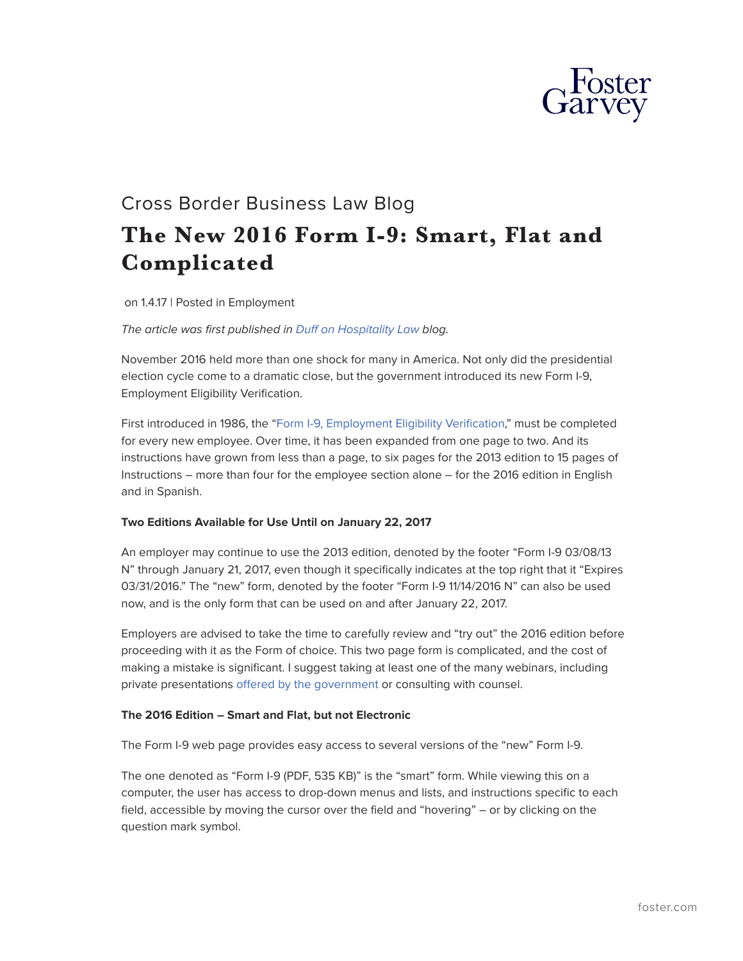

# Cross Border Business Law Blog **The New 2016 Form I-9: Smart, Flat and Complicated**

on 1.4.17 | Posted in Employment

*The article was first published in [Duff on Hospitality Law](http://www.duffonhospitalitylaw.com/) blog.*

November 2016 held more than one shock for many in America. Not only did the presidential election cycle come to a dramatic close, but the government introduced its new Form I-9, Employment Eligibility Verification.

First introduced in 1986, the "[Form I-9, Employment Eligibility Verification](https://www.uscis.gov/i-9-central/form-i-9-acceptable-documents)," must be completed for every new employee. Over time, it has been expanded from one page to two. And its instructions have grown from less than a page, to six pages for the 2013 edition to 15 pages of Instructions – more than four for the employee section alone – for the 2016 edition in English and in Spanish.

#### **Two Editions Available for Use Until on January 22, 2017**

An employer may continue to use the 2013 edition, denoted by the footer "Form I-9 03/08/13 N" through January 21, 2017, even though it specifically indicates at the top right that it "Expires 03/31/2016." The "new" form, denoted by the footer "Form I-9 11/14/2016 N" can also be used now, and is the only form that can be used on and after January 22, 2017.

Employers are advised to take the time to carefully review and "try out" the 2016 edition before proceeding with it as the Form of choice. This two page form is complicated, and the cost of making a mistake is significant. I suggest taking at least one of the many webinars, including private presentations [offered by the government](https://www.uscis.gov/e-verify/e-verify-webinars/take-free-webinar) or consulting with counsel.

#### **The 2016 Edition – Smart and Flat, but not Electronic**

The Form I-9 web page provides easy access to several versions of the "new" Form I-9.

The one denoted as "Form I-9 (PDF, 535 KB)" is the "smart" form. While viewing this on a computer, the user has access to drop-down menus and lists, and instructions specific to each field, accessible by moving the cursor over the field and "hovering" – or by clicking on the question mark symbol.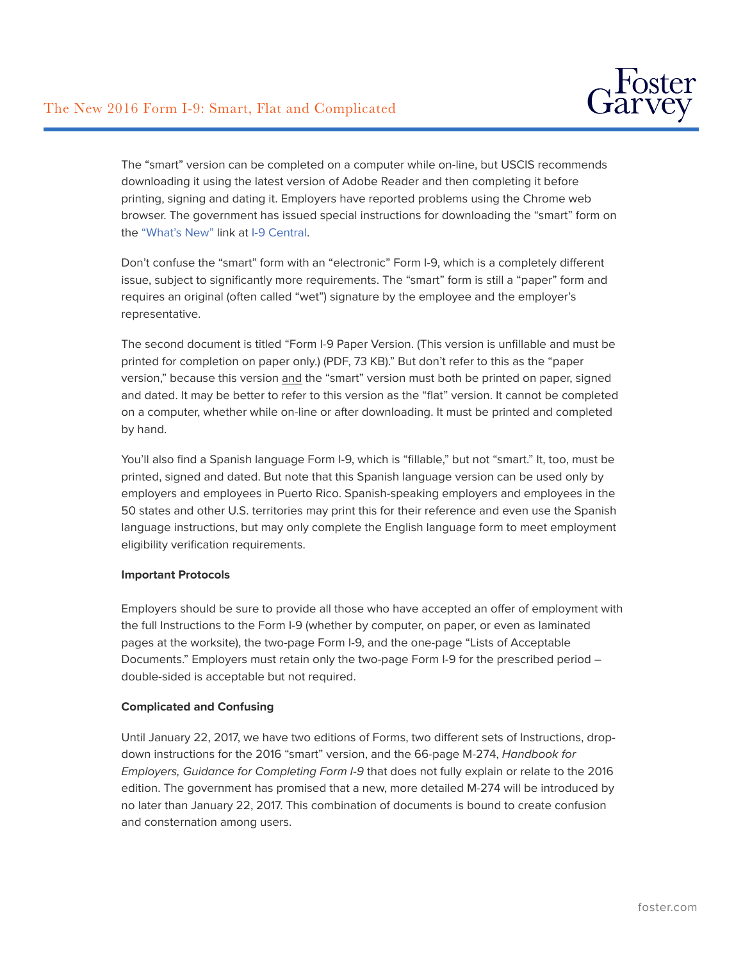

The "smart" version can be completed on a computer while on-line, but USCIS recommends downloading it using the latest version of Adobe Reader and then completing it before printing, signing and dating it. Employers have reported problems using the Chrome web browser. The government has issued special instructions for downloading the "smart" form on the ["What's New"](https://www.uscis.gov/i-9-central/whats-new) link at [I-9 Central.](https://www.uscis.gov/i-9-central)

Don't confuse the "smart" form with an "electronic" Form I-9, which is a completely different issue, subject to significantly more requirements. The "smart" form is still a "paper" form and requires an original (often called "wet") signature by the employee and the employer's representative.

The second document is titled "Form I-9 Paper Version. (This version is unfillable and must be printed for completion on paper only.) (PDF, 73 KB)." But don't refer to this as the "paper version," because this version and the "smart" version must both be printed on paper, signed and dated. It may be better to refer to this version as the "flat" version. It cannot be completed on a computer, whether while on-line or after downloading. It must be printed and completed by hand.

You'll also find a Spanish language Form I-9, which is "fillable," but not "smart." It, too, must be printed, signed and dated. But note that this Spanish language version can be used only by employers and employees in Puerto Rico. Spanish-speaking employers and employees in the 50 states and other U.S. territories may print this for their reference and even use the Spanish language instructions, but may only complete the English language form to meet employment eligibility verification requirements.

#### **Important Protocols**

Employers should be sure to provide all those who have accepted an offer of employment with the full Instructions to the Form I-9 (whether by computer, on paper, or even as laminated pages at the worksite), the two-page Form I-9, and the one-page "Lists of Acceptable Documents." Employers must retain only the two-page Form I-9 for the prescribed period double-sided is acceptable but not required.

#### **Complicated and Confusing**

Until January 22, 2017, we have two editions of Forms, two different sets of Instructions, dropdown instructions for the 2016 "smart" version, and the 66‑page M-274, *Handbook for Employers, Guidance for Completing Form I-9* that does not fully explain or relate to the 2016 edition. The government has promised that a new, more detailed M-274 will be introduced by no later than January 22, 2017. This combination of documents is bound to create confusion and consternation among users.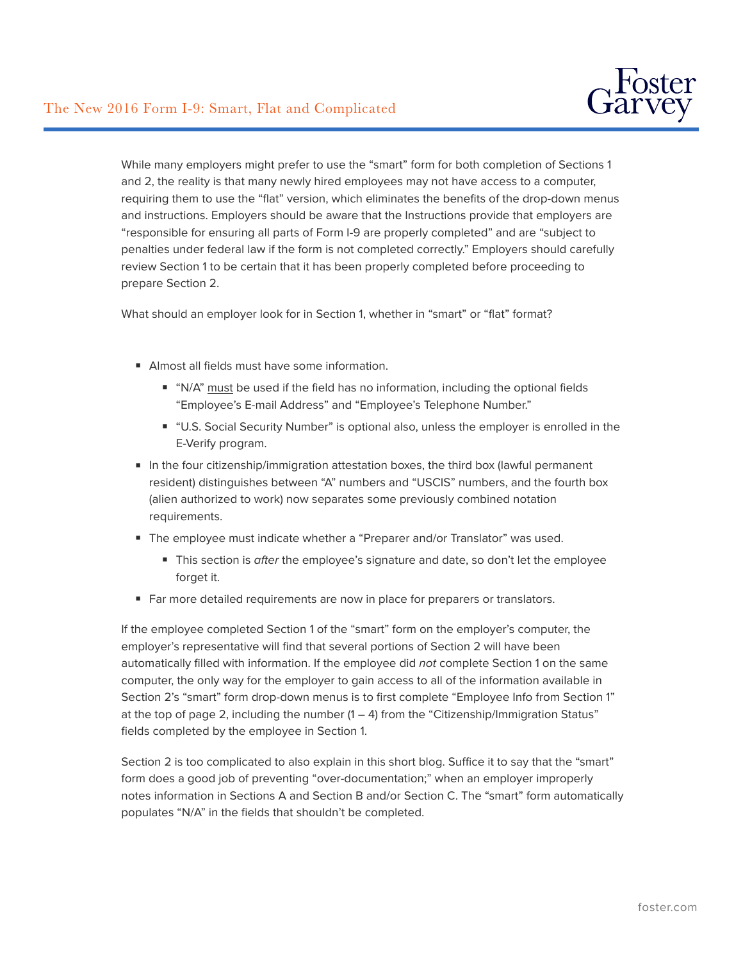

While many employers might prefer to use the "smart" form for both completion of Sections 1 and 2, the reality is that many newly hired employees may not have access to a computer, requiring them to use the "flat" version, which eliminates the benefits of the drop-down menus and instructions. Employers should be aware that the Instructions provide that employers are "responsible for ensuring all parts of Form I-9 are properly completed" and are "subject to penalties under federal law if the form is not completed correctly." Employers should carefully review Section 1 to be certain that it has been properly completed before proceeding to prepare Section 2.

What should an employer look for in Section 1, whether in "smart" or "flat" format?

- Almost all fields must have some information.
	- "N/A" must be used if the field has no information, including the optional fields "Employee's E-mail Address" and "Employee's Telephone Number."
	- "U.S. Social Security Number" is optional also, unless the employer is enrolled in the E-Verify program.
- In the four citizenship/immigration attestation boxes, the third box (lawful permanent resident) distinguishes between "A" numbers and "USCIS" numbers, and the fourth box (alien authorized to work) now separates some previously combined notation requirements.
- The employee must indicate whether a "Preparer and/or Translator" was used.
	- This section is *after* the employee's signature and date, so don't let the employee forget it.
- Far more detailed requirements are now in place for preparers or translators.

If the employee completed Section 1 of the "smart" form on the employer's computer, the employer's representative will find that several portions of Section 2 will have been automatically filled with information. If the employee did *not* complete Section 1 on the same computer, the only way for the employer to gain access to all of the information available in Section 2's "smart" form drop-down menus is to first complete "Employee Info from Section 1" at the top of page 2, including the number  $(1 - 4)$  from the "Citizenship/Immigration Status" fields completed by the employee in Section 1.

Section 2 is too complicated to also explain in this short blog. Suffice it to say that the "smart" form does a good job of preventing "over-documentation;" when an employer improperly notes information in Sections A and Section B and/or Section C. The "smart" form automatically populates "N/A" in the fields that shouldn't be completed.